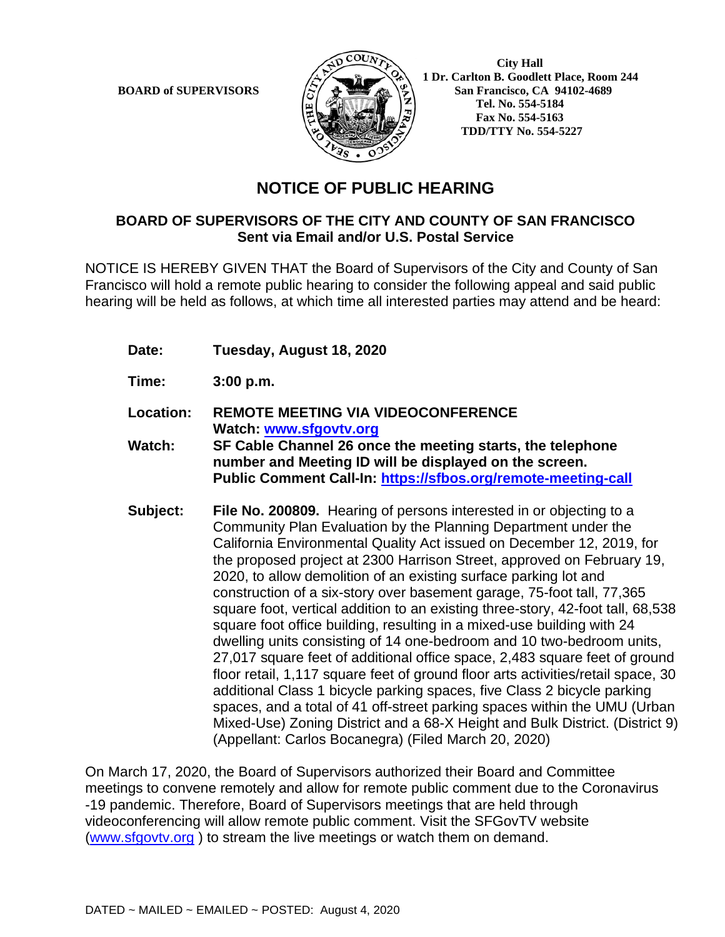

**BOARD of SUPERVISORS**  $\left(\sum_{i=1}^{N} a_i\right)$  **1 Dr. Carlton B. Goodlett Place, Room 244 San Francisco, CA 94102-4689 Tel. No. 554-5184 Fax No. 554-5163 TDD/TTY No. 554-5227**

## **NOTICE OF PUBLIC HEARING**

## **BOARD OF SUPERVISORS OF THE CITY AND COUNTY OF SAN FRANCISCO Sent via Email and/or U.S. Postal Service**

NOTICE IS HEREBY GIVEN THAT the Board of Supervisors of the City and County of San Francisco will hold a remote public hearing to consider the following appeal and said public hearing will be held as follows, at which time all interested parties may attend and be heard:

- **Date: Tuesday, August 18, 2020**
- **Time: 3:00 p.m.**
- **Location: REMOTE MEETING VIA VIDEOCONFERENCE Watch: www.sfgovtv.org**
- **Watch: SF Cable Channel 26 once the meeting starts, the telephone number and Meeting ID will be displayed on the screen. Public Comment Call-In: https://sfbos.org/remote-meeting-call**
- **Subject: File No. 200809.** Hearing of persons interested in or objecting to a Community Plan Evaluation by the Planning Department under the California Environmental Quality Act issued on December 12, 2019, for the proposed project at 2300 Harrison Street, approved on February 19, 2020, to allow demolition of an existing surface parking lot and construction of a six-story over basement garage, 75-foot tall, 77,365 square foot, vertical addition to an existing three-story, 42-foot tall, 68,538 square foot office building, resulting in a mixed-use building with 24 dwelling units consisting of 14 one-bedroom and 10 two-bedroom units, 27,017 square feet of additional office space, 2,483 square feet of ground floor retail, 1,117 square feet of ground floor arts activities/retail space, 30 additional Class 1 bicycle parking spaces, five Class 2 bicycle parking spaces, and a total of 41 off-street parking spaces within the UMU (Urban Mixed-Use) Zoning District and a 68-X Height and Bulk District. (District 9) (Appellant: Carlos Bocanegra) (Filed March 20, 2020)

On March 17, 2020, the Board of Supervisors authorized their Board and Committee meetings to convene remotely and allow for remote public comment due to the Coronavirus -19 pandemic. Therefore, Board of Supervisors meetings that are held through videoconferencing will allow remote public comment. Visit the SFGovTV website (www.sfgovtv.org ) to stream the live meetings or watch them on demand.